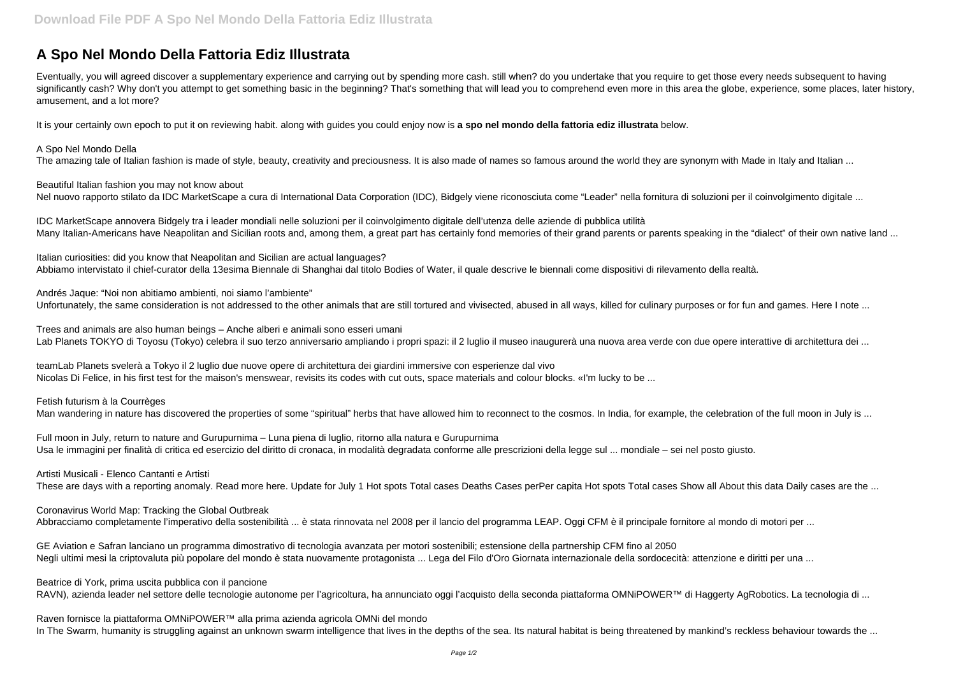## **A Spo Nel Mondo Della Fattoria Ediz Illustrata**

Eventually, you will agreed discover a supplementary experience and carrying out by spending more cash. still when? do you undertake that you require to get those every needs subsequent to having significantly cash? Why don't you attempt to get something basic in the beginning? That's something that will lead you to comprehend even more in this area the globe, experience, some places, later history, amusement, and a lot more?

IDC MarketScape annovera Bidgely tra i leader mondiali nelle soluzioni per il coinvolgimento digitale dell'utenza delle aziende di pubblica utilità Many Italian-Americans have Neapolitan and Sicilian roots and, among them, a great part has certainly fond memories of their grand parents or parents speaking in the "dialect" of their own native land ...

It is your certainly own epoch to put it on reviewing habit. along with guides you could enjoy now is **a spo nel mondo della fattoria ediz illustrata** below.

## A Spo Nel Mondo Della

The amazing tale of Italian fashion is made of style, beauty, creativity and preciousness. It is also made of names so famous around the world they are synonym with Made in Italy and Italian ...

Andrés Jaque: "Noi non abitiamo ambienti, noi siamo l'ambiente" Unfortunately, the same consideration is not addressed to the other animals that are still tortured and vivisected, abused in all ways, killed for culinary purposes or for fun and games. Here I note ...

Trees and animals are also human beings – Anche alberi e animali sono esseri umani Lab Planets TOKYO di Toyosu (Tokyo) celebra il suo terzo anniversario ampliando i propri spazi: il 2 luglio il museo inaugurerà una nuova area verde con due opere interattive di architettura dei ...

Beautiful Italian fashion you may not know about Nel nuovo rapporto stilato da IDC MarketScape a cura di International Data Corporation (IDC), Bidgely viene riconosciuta come "Leader" nella fornitura di soluzioni per il coinvolgimento digitale ...

Fetish futurism à la Courrèges Man wandering in nature has discovered the properties of some "spiritual" herbs that have allowed him to reconnect to the cosmos. In India, for example, the celebration of the full moon in July is ...

Italian curiosities: did you know that Neapolitan and Sicilian are actual languages? Abbiamo intervistato il chief-curator della 13esima Biennale di Shanghai dal titolo Bodies of Water, il quale descrive le biennali come dispositivi di rilevamento della realtà.

GE Aviation e Safran lanciano un programma dimostrativo di tecnologia avanzata per motori sostenibili; estensione della partnership CFM fino al 2050 Negli ultimi mesi la criptovaluta più popolare del mondo è stata nuovamente protagonista ... Lega del Filo d'Oro Giornata internazionale della sordocecità: attenzione e diritti per una ...

Beatrice di York, prima uscita pubblica con il pancione RAVN), azienda leader nel settore delle tecnologie autonome per l'agricoltura, ha annunciato oggi l'acquisto della seconda piattaforma OMNiPOWER™ di Haggerty AgRobotics. La tecnologia di ...

teamLab Planets svelerà a Tokyo il 2 luglio due nuove opere di architettura dei giardini immersive con esperienze dal vivo Nicolas Di Felice, in his first test for the maison's menswear, revisits its codes with cut outs, space materials and colour blocks. «I'm lucky to be ...

Full moon in July, return to nature and Gurupurnima – Luna piena di luglio, ritorno alla natura e Gurupurnima Usa le immagini per finalità di critica ed esercizio del diritto di cronaca, in modalità degradata conforme alle prescrizioni della legge sul ... mondiale – sei nel posto giusto.

Artisti Musicali - Elenco Cantanti e Artisti

These are days with a reporting anomaly. Read more here. Update for July 1 Hot spots Total cases pere capita Hot spots Total cases Show all About this data Daily cases are the ...

Coronavirus World Map: Tracking the Global Outbreak

Abbracciamo completamente l'imperativo della sostenibilità ... è stata rinnovata nel 2008 per il lancio del programma LEAP. Oggi CFM è il principale fornitore al mondo di motori per ...

Raven fornisce la piattaforma OMNiPOWER™ alla prima azienda agricola OMNi del mondo In The Swarm, humanity is struggling against an unknown swarm intelligence that lives in the depths of the sea. Its natural habitat is being threatened by mankind's reckless behaviour towards the ...